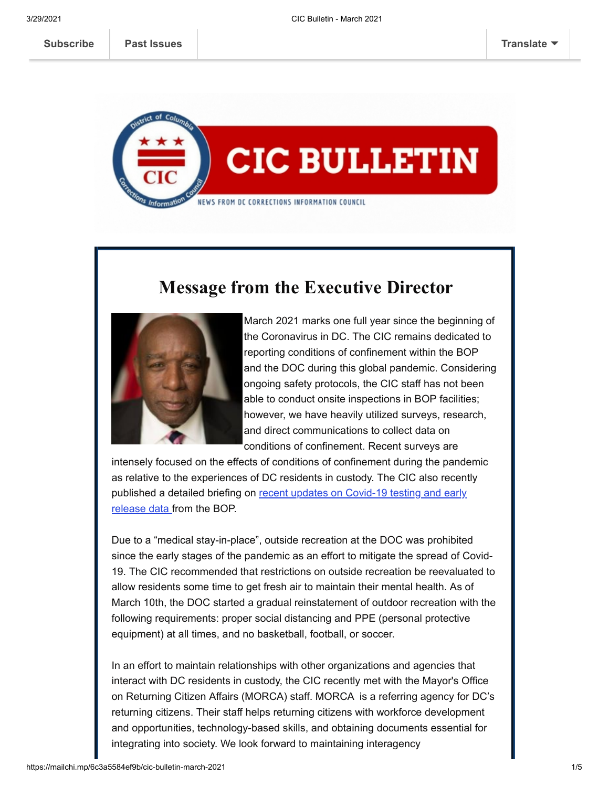

## **Message from the Executive Director**



March 2021 marks one full year since the beginning of the Coronavirus in DC. The CIC remains dedicated to reporting conditions of confinement within the BOP and the DOC during this global pandemic. Considering ongoing safety protocols, the CIC staff has not been able to conduct onsite inspections in BOP facilities; however, we have heavily utilized surveys, research, and direct communications to collect data on conditions of confinement. Recent surveys are

intensely focused on the effects of conditions of confinement during the pandemic as relative to the experiences of DC residents in custody. The CIC also recently [published a detailed briefing on recent updates on Covid-19 testing and early](https://cic.dc.gov/release/update-covid-19-testing-and-early-release-data-bop) release data from the BOP.

Due to a "medical stay-in-place", outside recreation at the DOC was prohibited since the early stages of the pandemic as an effort to mitigate the spread of Covid-19. The CIC recommended that restrictions on outside recreation be reevaluated to allow residents some time to get fresh air to maintain their mental health. As of March 10th, the DOC started a gradual reinstatement of outdoor recreation with the following requirements: proper social distancing and PPE (personal protective equipment) at all times, and no basketball, football, or soccer.

In an effort to maintain relationships with other organizations and agencies that interact with DC residents in custody, the CIC recently met with the Mayor's Office on Returning Citizen Affairs (MORCA) staff. MORCA is a referring agency for DC's returning citizens. Their staff helps returning citizens with workforce development and opportunities, technology-based skills, and obtaining documents essential for integrating into society. We look forward to maintaining interagency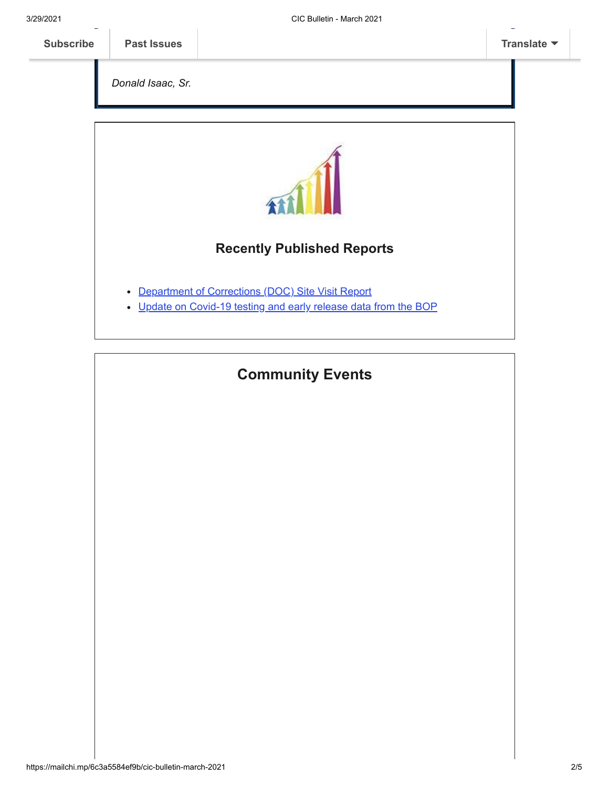*Donald Isaac, Sr.*



### **Recently Published Reports**

- [Department of Corrections \(DOC\) Site Visit Report](https://cic.dc.gov/node/1528626)
- [Update on Covid-19 testing and early release data from the BOP](https://cic.dc.gov/node/1527466)

# **Community Events**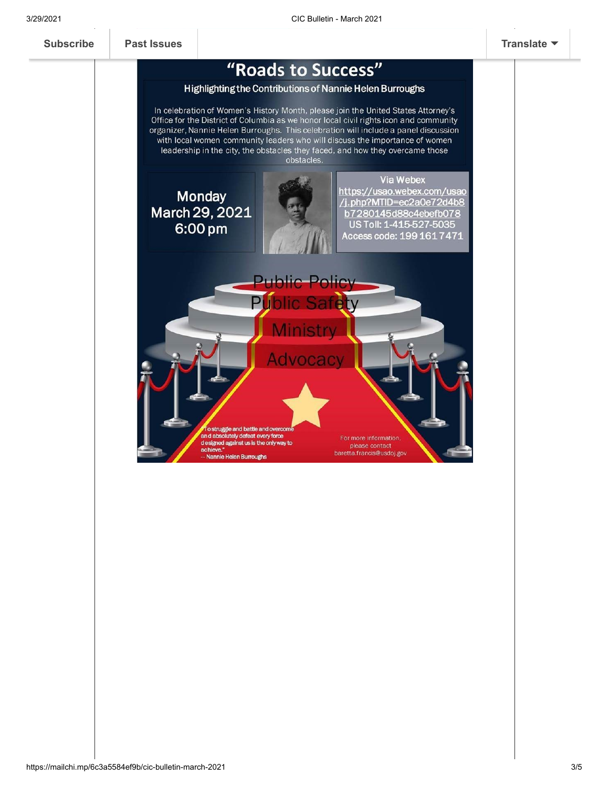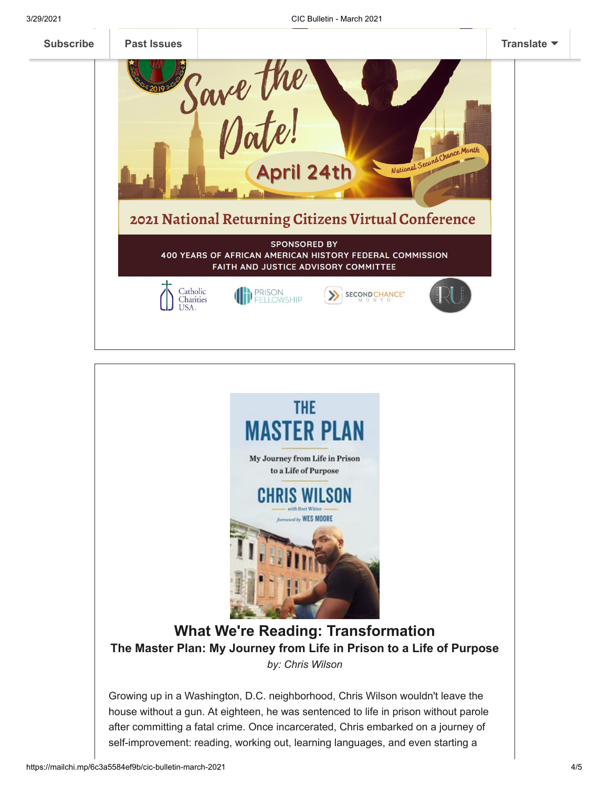



house without a gun. At eighteen, he was sentenced to life in prison without parole after committing a fatal crime. Once incarcerated, Chris embarked on a journey of self-improvement: reading, working out, learning languages, and even starting a